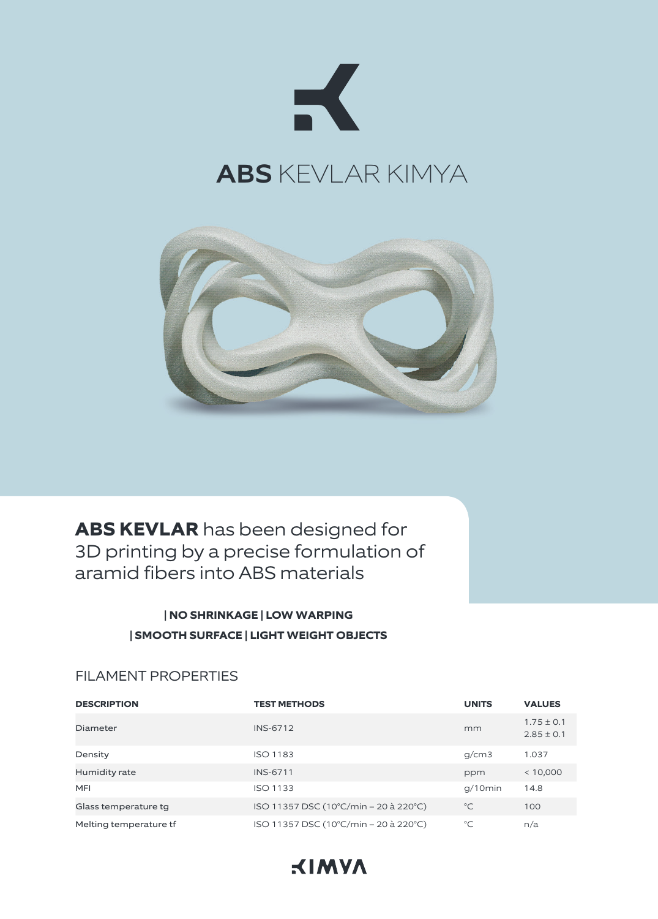



**ABS KEVLAR** has been designed for 3D printing by a precise formulation of aramid fibers into ABS materials

# **| NO SHRINKAGE | LOW WARPING | SMOOTH SURFACE | LIGHT WEIGHT OBJECTS**

## FILAMENT PROPERTIES

| <b>DESCRIPTION</b>     | <b>TEST METHODS</b>                   | <b>UNITS</b> | <b>VALUES</b>                    |
|------------------------|---------------------------------------|--------------|----------------------------------|
| Diameter               | <b>INS-6712</b>                       | mm           | $1.75 \pm 0.1$<br>$2.85 \pm 0.1$ |
| Density                | <b>ISO 1183</b>                       | g/cm3        | 1.037                            |
| Humidity rate          | <b>INS-6711</b>                       | ppm          | < 10,000                         |
| MFI                    | <b>ISO 1133</b>                       | $q/10$ min   | 14.8                             |
| Glass temperature tg   | ISO 11357 DSC (10°C/min – 20 à 220°C) | $^{\circ}C$  | 100                              |
| Melting temperature tf | ISO 11357 DSC (10°C/min - 20 à 220°C) | $^{\circ}C$  | n/a                              |